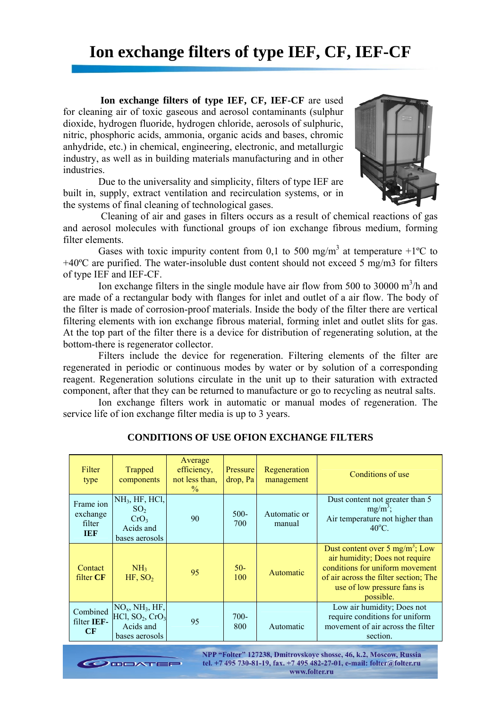# **Ion exchange filters of type IEF, CF, IEF-CF**

**Ion exchange filters of type IEF, CF, IEF-CF** are used for cleaning air of toxic gaseous and aerosol contaminants (sulphur dioxide, hydrogen fluoride, hydrogen chloride, aerosols of sulphuric, nitric, phosphoric acids, ammonia, organic acids and bases, chromic anhydride, etc.) in chemical, engineering, electronic, and metallurgic industry, as well as in building materials manufacturing and in other industries.

Due to the universality and simplicity, filters of type IEF are built in, supply, extract ventilation and recirculation systems, or in the systems of final cleaning of technological gases.



 Cleaning of air and gases in filters occurs as a result of chemical reactions of gas and aerosol molecules with functional groups of ion exchange fibrous medium, forming filter elements.

Gases with toxic impurity content from 0,1 to 500 mg/m<sup>3</sup> at temperature +1<sup>o</sup>C to +40ºC are purified. The water-insoluble dust content should not exceed 5 mg/m3 for filters of type IEF and IEF-CF.

Ion exchange filters in the single module have air flow from 500 to 30000  $\text{m}^3/\text{h}$  and are made of a rectangular body with flanges for inlet and outlet of a air flow. The body of the filter is made of corrosion-proof materials. Inside the body of the filter there are vertical filtering elements with ion exchange fibrous material, forming inlet and outlet slits for gas. At the top part of the filter there is a device for distribution of regenerating solution, at the bottom-there is regenerator collector.

Filters include the device for regeneration. Filtering elements of the filter are regenerated in periodic or continuous modes by water or by solution of a corresponding reagent. Regeneration solutions circulate in the unit up to their saturation with extracted component, after that they can be returned to manufacture or go to recycling as neutral salts.

Ion exchange filters work in automatic or manual modes of regeneration. The service life of ion exchange filter media is up to 3 years.

| Filter<br>type                                | Trapped<br>components                                                                                   | Average<br>efficiency,<br>not less than,<br>$\frac{0}{0}$ | Pressure<br>drop, Pa | Regeneration<br>management | Conditions of use                                                                                                                                                                                     |
|-----------------------------------------------|---------------------------------------------------------------------------------------------------------|-----------------------------------------------------------|----------------------|----------------------------|-------------------------------------------------------------------------------------------------------------------------------------------------------------------------------------------------------|
| Frame ion<br>exchange<br>filter<br><b>TER</b> | NH <sub>3</sub> , HF, HCl,<br>SO <sub>2</sub><br>CrO <sub>3</sub><br>Acids and<br>bases aerosols        | 90                                                        | $500 -$<br>700       | Automatic or<br>manual     | Dust content not greater than 5<br>$mg/m^3$ ;<br>Air temperature not higher than<br>$40^{\circ}$ C.                                                                                                   |
| Contact<br>filter CF                          | NH <sub>3</sub><br>HF, SO <sub>2</sub>                                                                  | 95                                                        | $50-$<br>100         | Automatic                  | Dust content over 5 mg/m <sup>3</sup> ; Low<br>air humidity; Does not require<br>conditions for uniform movement<br>of air across the filter section; The<br>use of low pressure fans is<br>possible. |
| Combined<br>filter IEF-<br>CF                 | $NOx$ , NH <sub>3</sub> , HF,<br>HC1, SO <sub>2</sub> , CrO <sub>3</sub><br>Acids and<br>bases aerosols | 95                                                        | $700-$<br>800        | Automatic                  | Low air humidity; Does not<br>require conditions for uniform<br>movement of air across the filter<br>section.                                                                                         |

## **CONDITIONS OF USE OFION EXCHANGE FILTERS**

NPP "Folter" 127238, Dmitrovskoye shosse, 46, k.2, Moscow, Russia tel. +7 495 730-81-19, fax. +7 495 482-27-01, e-mail: folter@folter.ru **DOOATEP** www.folter.ru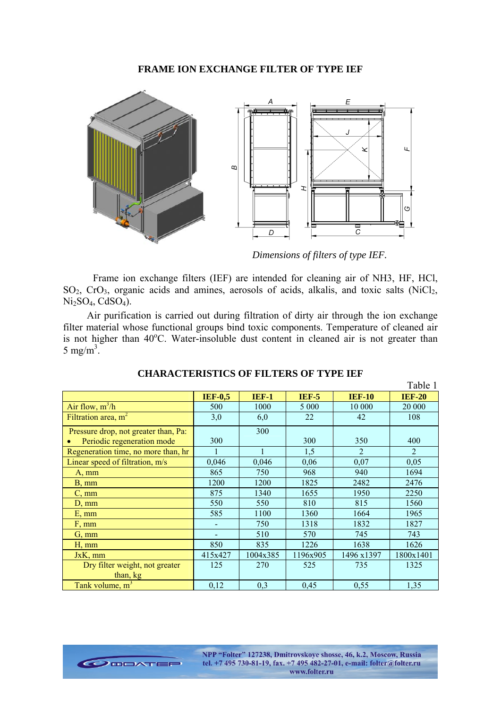#### **FRAME ION EXCHANGE FILTER OF TYPE IEF**



 *Dimensions of filters of type IEF.* 

Frame ion exchange filters (IEF) are intended for cleaning air of NH3, HF, HCl,  $SO_2$ ,  $C_1O_3$ , organic acids and amines, aerosols of acids, alkalis, and toxic salts (NiCl<sub>2</sub>,  $Ni<sub>2</sub>SO<sub>4</sub>, CdSO<sub>4</sub>$ ).

Air purification is carried out during filtration of dirty air through the ion exchange filter material whose functional groups bind toxic components. Temperature of cleaned air is not higher than 40°C. Water-insoluble dust content in cleaned air is not greater than  $5 \text{ mg/m}^3$ .

|                                            |                |              |              |                | Table 1        |
|--------------------------------------------|----------------|--------------|--------------|----------------|----------------|
|                                            | <b>IEF-0,5</b> | <b>IEF-1</b> | <b>IEF-5</b> | <b>IEF-10</b>  | <b>IEF-20</b>  |
| Air flow, $m^3/h$                          | 500            | 1000         | 5 0 0 0      | 10 000         | 20 000         |
| Filtration area, m <sup>2</sup>            | 3,0            | 6,0          | 22           | 42             | 108            |
| Pressure drop, not greater than, Pa:       |                | 300          |              |                |                |
| Periodic regeneration mode                 | 300            |              | 300          | 350            | 400            |
| Regeneration time, no more than, hr        | 1              | $\mathbf{1}$ | 1,5          | $\overline{2}$ | $\overline{2}$ |
| Linear speed of filtration, m/s            | 0,046          | 0,046        | 0,06         | 0,07           | 0,05           |
| $A, \, mm$                                 | 865            | 750          | 968          | 940            | 1694           |
| $B, \, mm$                                 | 1200           | 1200         | 1825         | 2482           | 2476           |
| $C, \, \text{mm}$                          | 875            | 1340         | 1655         | 1950           | 2250           |
| $D, \, mm$                                 | 550            | 550          | 810          | 815            | 1560           |
| $E, \, mm$                                 | 585            | 1100         | 1360         | 1664           | 1965           |
| F, mm                                      |                | 750          | 1318         | 1832           | 1827           |
| $G, \, mm$                                 |                | 510          | 570          | 745            | 743            |
| $H, \, mm$                                 | 850            | 835          | 1226         | 1638           | 1626           |
| JxK, mm                                    | 415x427        | 1004x385     | 1196x905     | 1496 x1397     | 1800x1401      |
| Dry filter weight, not greater<br>than, kg | 125            | 270          | 525          | 735            | 1325           |
| Tank volume, m <sup>3</sup>                | 0,12           | 0,3          | 0,45         | 0,55           | 1,35           |

#### **CHARACTERISTICS OF FILTERS OF TYPE IEF**

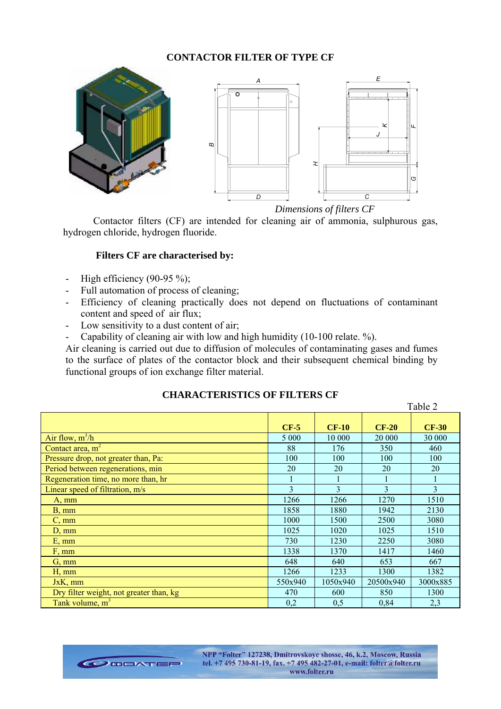## **CONTACTOR FILTER OF TYPE CF**



 *Dimensions of filters CF* 

Table 2

Contactor filters (CF) are intended for cleaning air of ammonia, sulphurous gas, hydrogen chloride, hydrogen fluoride.

### **Filters CF are characterised by:**

- High efficiency  $(90-95\%)$ ;
- Full automation of process of cleaning;
- Efficiency of cleaning practically does not depend on fluctuations of contaminant content and speed of air flux;
- Low sensitivity to a dust content of air;
- Capability of cleaning air with low and high humidity (10-100 relate. %).

Air cleaning is carried out due to diffusion of molecules of contaminating gases and fumes to the surface of plates of the contactor block and their subsequent chemical binding by functional groups of ion exchange filter material.

|                                         | $CF-5$  | $CF-10$  | $CF-20$       | <b>CF-30</b>             |
|-----------------------------------------|---------|----------|---------------|--------------------------|
| Air flow, $m^3/h$                       | 5 0 0 0 | 10 000   | 20 000        | 30 000                   |
| Contact area, $m2$                      | 88      | 176      | 350           | 460                      |
| Pressure drop, not greater than, Pa:    | 100     | 100      | 100           | 100                      |
| Period between regenerations, min       | 20      | 20       | 20            | 20                       |
| Regeneration time, no more than, hr     |         |          |               |                          |
| Linear speed of filtration, m/s         | 3       | 3        | $\mathcal{E}$ | $\overline{\mathcal{E}}$ |
| $A, \, mm$                              | 1266    | 1266     | 1270          | 1510                     |
| $B, \, mm$                              | 1858    | 1880     | 1942          | 2130                     |
| $C, \, mm$                              | 1000    | 1500     | 2500          | 3080                     |
| $D, \, mm$                              | 1025    | 1020     | 1025          | 1510                     |
| $E, \, mm$                              | 730     | 1230     | 2250          | 3080                     |
| F, mm                                   | 1338    | 1370     | 1417          | 1460                     |
| $G, \, mm$                              | 648     | 640      | 653           | 667                      |
| $H, \, mm$                              | 1266    | 1233     | 1300          | 1382                     |
| $JxK$ , mm                              | 550x940 | 1050x940 | 20500x940     | 3000x885                 |
| Dry filter weight, not greater than, kg | 470     | 600      | 850           | 1300                     |
| Tank volume, $m3$                       | 0,2     | 0,5      | 0,84          | 2,3                      |

## **CHARACTERISTICS OF FILTERS CF**